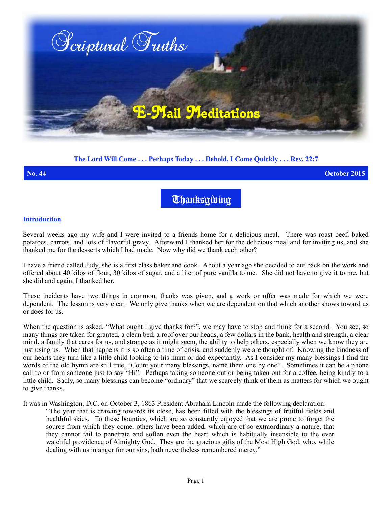

## **The Lord Will Come . . . Perhaps Today . . . Behold, I Come Quickly . . . Rev. 22:7**

**No. 44 October 2015**

**Thanksgibing** 

## **Introduction**

Several weeks ago my wife and I were invited to a friends home for a delicious meal. There was roast beef, baked potatoes, carrots, and lots of flavorful gravy. Afterward I thanked her for the delicious meal and for inviting us, and she thanked me for the desserts which I had made. Now why did we thank each other?

I have a friend called Judy, she is a first class baker and cook. About a year ago she decided to cut back on the work and offered about 40 kilos of flour, 30 kilos of sugar, and a liter of pure vanilla to me. She did not have to give it to me, but she did and again, I thanked her.

These incidents have two things in common, thanks was given, and a work or offer was made for which we were dependent. The lesson is very clear. We only give thanks when we are dependent on that which another shows toward us or does for us.

When the question is asked, "What ought I give thanks for?", we may have to stop and think for a second. You see, so many things are taken for granted, a clean bed, a roof over our heads, a few dollars in the bank, health and strength, a clear mind, a family that cares for us, and strange as it might seem, the ability to help others, especially when we know they are just using us. When that happens it is so often a time of crisis, and suddenly we are thought of. Knowing the kindness of our hearts they turn like a little child looking to his mum or dad expectantly. As I consider my many blessings I find the words of the old hymn are still true, "Count your many blessings, name them one by one". Sometimes it can be a phone call to or from someone just to say "Hi". Perhaps taking someone out or being taken out for a coffee, being kindly to a little child. Sadly, so many blessings can become "ordinary" that we scarcely think of them as matters for which we ought to give thanks.

It was in Washington, D.C. on October 3, 1863 President Abraham Lincoln made the following declaration:

"The year that is drawing towards its close, has been filled with the blessings of fruitful fields and healthful skies. To these bounties, which are so constantly enjoyed that we are prone to forget the source from which they come, others have been added, which are of so extraordinary a nature, that they cannot fail to penetrate and soften even the heart which is habitually insensible to the ever watchful providence of Almighty God. They are the gracious gifts of the Most High God, who, while dealing with us in anger for our sins, hath nevertheless remembered mercy."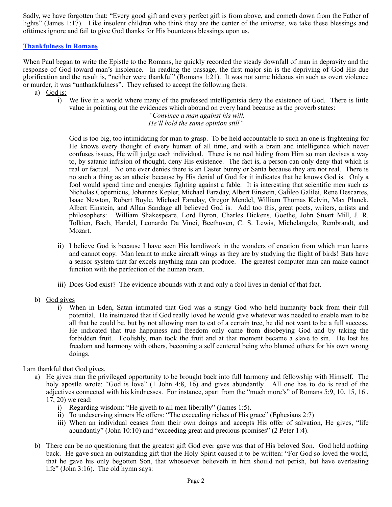Sadly, we have forgotten that: "Every good gift and every perfect gift is from above, and cometh down from the Father of lights" (James 1:17). Like insolent children who think they are the center of the universe, we take these blessings and ofttimes ignore and fail to give God thanks for His bounteous blessings upon us.

## **Thankfulness in Romans**

When Paul began to write the Epistle to the Romans, he quickly recorded the steady downfall of man in depravity and the response of God toward man's insolence. In reading the passage, the first major sin is the depriving of God His due glorification and the result is, "neither were thankful" (Romans 1:21). It was not some hideous sin such as overt violence or murder, it was "unthankfulness". They refused to accept the following facts:

i) We live in a world where many of the professed intelligentsia deny the existence of God. There is little value in pointing out the evidences which abound on every hand because as the proverb states:

> *"Convince a man against his will, He'll hold the same opinion still"*

God is too big, too intimidating for man to grasp. To be held accountable to such an one is frightening for He knows every thought of every human of all time, and with a brain and intelligence which never confuses issues, He will judge each individual. There is no real hiding from Him so man devises a way to, by satanic infusion of thought, deny His existence. The fact is, a person can only deny that which is real or factual. No one ever denies there is an Easter bunny or Santa because they are not real. There is no such a thing as an atheist because by His denial of God for it indicates that he knows God is. Only a fool would spend time and energies fighting against a fable. It is interesting that scientific men such as Nicholas Copernicus, Johannes Kepler, Michael Faraday, Albert Einstein, Galileo Galilei, Rene Descartes, Isaac Newton, Robert Boyle, Michael Faraday, Gregor Mendel, William Thomas Kelvin, Max Planck, Albert Einstein, and Allan Sandage all believed God is. Add too this, great poets, writers, artists and philosophers: William Shakespeare, Lord Byron, Charles Dickens, Goethe, John Stuart Mill, J. R. Tolkien, Bach, Handel, Leonardo Da Vinci, Beethoven, C. S. Lewis, Michelangelo, Rembrandt, and Mozart.

- ii) I believe God is because I have seen His handiwork in the wonders of creation from which man learns and cannot copy. Man learnt to make aircraft wings as they are by studying the flight of birds! Bats have a sensor system that far excels anything man can produce. The greatest computer man can make cannot function with the perfection of the human brain.
- iii) Does God exist? The evidence abounds with it and only a fool lives in denial of that fact.
- b) God gives
	- i) When in Eden, Satan intimated that God was a stingy God who held humanity back from their full potential. He insinuated that if God really loved he would give whatever was needed to enable man to be all that he could be, but by not allowing man to eat of a certain tree, he did not want to be a full success. He indicated that true happiness and freedom only came from disobeying God and by taking the forbidden fruit. Foolishly, man took the fruit and at that moment became a slave to sin. He lost his freedom and harmony with others, becoming a self centered being who blamed others for his own wrong doings.

I am thankful that God gives.

- a) He gives man the privileged opportunity to be brought back into full harmony and fellowship with Himself. The holy apostle wrote: "God is love" (1 John 4:8, 16) and gives abundantly. All one has to do is read of the adjectives connected with his kindnesses. For instance, apart from the "much more's" of Romans 5:9, 10, 15, 16 , 17, 20) we read:
	- i) Regarding wisdom: "He giveth to all men liberally" (James 1:5).
	- ii) To undeserving sinners He offers: "The exceeding riches of His grace" (Ephesians 2:7)
	- iii) When an individual ceases from their own doings and accepts His offer of salvation, He gives, "life abundantly" (John 10:10) and "exceeding great and precious promises" (2 Peter 1:4).
- b) There can be no questioning that the greatest gift God ever gave was that of His beloved Son. God held nothing back. He gave such an outstanding gift that the Holy Spirit caused it to be written: "For God so loved the world, that he gave his only begotten Son, that whosoever believeth in him should not perish, but have everlasting life" (John 3:16). The old hymn says:

a) God is: